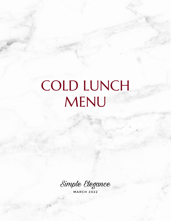# COLD LUNCH MENU

Simple Elegance

**MARCH 2022**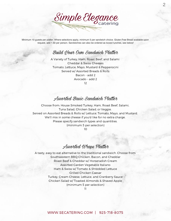Simple Elegance

2

Minimum 10 guests per platter. Where selections apply, minimum 5 per sandwich choice. Gluten Free Bread available upon request, add 1.50 per person. Sandwiches can also be ordered as boxed lunches, see below!

### Build *Hour Own Sandwich Platter*

A Variety of Turkey, Ham, Roast Beef, and Salami Cheddar & Swiss Cheeses Tomato, Lettuce, Mayo, Mustard & Pepperocini Served w/ Assorted Breads & Rolls Bacon - add 2 Avocado - add 2 12

Assorted Basic Sandwich Platter

Choose from: House Smoked Turkey, Ham, Roast Beef, Salami, Tuna Salad, Chicken Salad, or Veggie. Served on Assorted Breads & Rolls w/ Lettuce, Tomato, Mayo, and Mustard. We'll mix in some cheese if you'd like for no extra charge. Please specify sandwich types and quantities. (minimum 5 per selection)

10

## Assorted Wraps Platter

A tasty, easy to eat alternative to the traditional sandwich. Choose from: Southwestern BBQ Chicken, Bacon, and Cheddar Roast Beef & Cheddar w/ Horseradish Cream Assorted Garden Vegetable Italiano Ham & Swiss w/ Tomato & Shredded Lettuce Grilled Chicken Caesar Turkey, Cream Cheese, Lettuce, and Cranberry Sauce Chicken Salad w/ Toasted Almonds & Shaved Apple (minimum 5 per selection)

11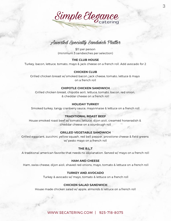

## Assorted Specialty Sandwich Platter

\$11 per person (minimum 5 sandwiches per selection)

#### **THE CLUB HOUSE**

Turkey, bacon, lettuce, tomato, mayo & jack cheese on a french roll. Add avocado for 2

#### **CHICKEN CLUB**

Grilled chicken breast w/ smoked bacon, jack cheese, tomato, lettuce & mayo on a french roll

#### **CHIPOTLE CHICKEN SANDWICH**

Grilled chicken breast, chipotle aoili, lettuce, tomato, bacon, red onion, & cheddar cheese on a french roll

#### **HOLIDAY TURKEY**

Smoked turkey, tangy cranberry sauce, mayonnaise & lettuce on a french roll

#### **TRADITIONAL ROAST BEEF**

House smoked roast beef w/ tomato, lettuce, dijon aioli, creamed horseradish & cheddar cheese on a sourdough roll

#### **GRILLED VEGETABLE SANDWICH**

Grilled eggplant, zucchini, yellow squash, red bell pepper, provolone cheese & field greens w/ pesto mayo on a french roll

#### **THE B.L.T**

A traditional american favorite that needs no explanation. Served w/ mayo on a french roll

#### **HAM AND CHEESE**

Ham, swiss cheese, dijon aioli, shaved red onions, mayo, tomato & lettuce on a french roll

#### **TURKEY AND AVOCADO**

Turkey & avocado w/ mayo, tomato & lettuce on a french roll

#### **CHICKEN SALAD SANDWICH**

House made chicken salad w/ apple, almonds & lettuce on a french roll

#### [WWW.SECATERING.COM](http://www.secatering.com/) | 925-718-8075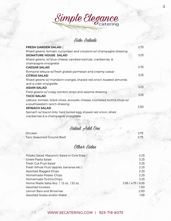Simple Elegance

## Side Salads

| <b>FRESH GARDEN SALAD</b>                                                  | 2.75 |
|----------------------------------------------------------------------------|------|
| Mixed greens, tomato, cucumber and croutons w/ champagne dressing          |      |
| <b>SIGNATURE HOUSE SALAD</b>                                               | 3.25 |
| Mixed greens, w/ blue cheese, candied walnuts, cranberries, &              |      |
| champagne vinaigrette                                                      |      |
| <b>CAESAR SALAD</b>                                                        | 2.75 |
| Romaine lettuce w/ fresh grated parmesan and creamy caesar                 |      |
| <b>CITRUS SALAD</b>                                                        | 3.25 |
| Mixed greens w/ mandarin oranges, shaved red onion, toasted almonds        |      |
| and a cider vinaigrette                                                    |      |
| <b>ASIAN SALAD</b>                                                         | 3.25 |
| Field greens w/ crispy wonton strips and sesame dressing                   |      |
| <b>TACO SALAD</b>                                                          | 3.25 |
| Lettuce, tomato, black olives, avocado, cheese, crumbled tortilla chips w/ |      |
| a southwestern ranch dressing                                              |      |
| <b>SPINACH SALAD</b>                                                       | 3.50 |
| Spinach w/ bacon bits, hard boiled egg, shaved red onion, dried            |      |
| cranberries & a champagne vinaigrette                                      |      |

# Salad Add Ons

| Chicken                   | 2.75 |
|---------------------------|------|
| Taco Seasoned Ground Beef | 2.75 |

# Other Sides

| Potato Salad, Macaroni Salad or Cole Slaw | 2.25               |
|-------------------------------------------|--------------------|
| Greek Pasta Salad                         | 3.25               |
| Fresh Cut Fruit Salad                     | 3.25               |
| Fresh Whole Fruit (apples, bananas etc.)  | 2.25               |
| <b>Assorted Bagged Chips</b>              | 2.25               |
| Homemade Potato Chips                     | 2.25               |
| Homemade Tortilla Chips                   | 3.25               |
| Home Made Salsa 8oz / 12 oz / 32 oz       | 3.95 / 4.75 / 8.95 |
| <b>Assorted Cookies</b>                   | 1.50               |
| Lemon Bars and Brownies                   | 2.50               |
| Assorted Sodas and/or Water               | 1.95               |
|                                           |                    |